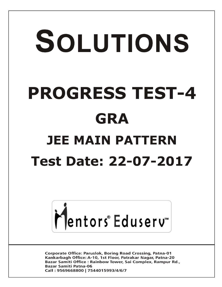# SOLUTIONS **PROGRESS TEST-4 GRA JEE MAIN PATTERN Test Date: 22-07-2017**



**Corporate Office: Paruslok, Boring Road Crossing, Patna-01** Kankarbagh Office: A-10, 1st Floor, Patrakar Nagar, Patna-20 Bazar Samiti Office: Rainbow Tower, Sai Complex, Rampur Rd., **Bazar Samiti Patna-06** Call: 9569668800 | 7544015993/4/6/7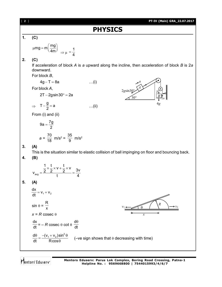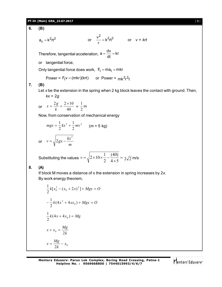## **PT-IV (Main) GRA\_22.07.2017** [ **3** ]

**6. (B)**

$$
a_c = k^2rt^2
$$
 or  $\frac{v^2}{r} = k^2rt^2$  or  $v = krt$ 

Therefore, tangential acceleration,  $a = \frac{dv}{dt} = kr$ dt  $=\frac{\Delta V}{\Omega} =$ 

or tangential force,

Only tangential force does work,  $F_t = ma_t = mkr$ 

Power = 
$$
F_t v = (mkr)(krt)
$$
 or Power =  $mk^2r^2t$ 

#### **7. (B)**

Let *x* be the extension in the spring when 2 kg block leaves the contact with ground. Then, *kx* = 2*g*

or 
$$
x = \frac{2g}{k} = \frac{2 \times 10}{40} = \frac{1}{2}
$$
m

Now, from conservation of mechanical energy

$$
mgx = \frac{1}{2}kx^{2} + \frac{1}{2}mv^{2}
$$
 (*m* = 5 kg)  
or  $v = \sqrt{2gx - \frac{kx^{2}}{m}}$ 

Substituting the values 
$$
v = \sqrt{2 \times 10 \times \frac{1}{2} - \frac{(40)}{4 \times 5}} = 2\sqrt{2}
$$
 m/s

#### **8. (A)**

If block M moves a distance of x the extension in spring increases by 2*x*. By work energy theorem,

$$
\frac{1}{2}k[x_0^2 - (x_0 + 2x)^2] + Mgx = O
$$
  

$$
-\frac{1}{2}k(4x^2 + 4xx_0) + Mgx = O
$$
  

$$
\frac{1}{2}k(4x + 4x_0) = Mg
$$
  

$$
x + x_0 = \frac{Mg}{2k}
$$
  

$$
x = \frac{Mg}{2k} - x_0
$$

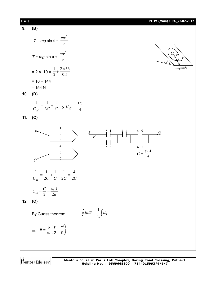

Mentors<sup>®</sup> Eduserv<sup>®</sup>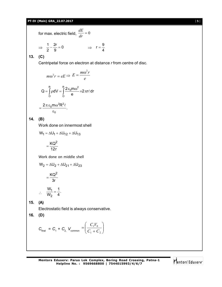#### **PT-IV (Main) GRA\_22.07.2017** [ **5** ]

for max. electric field,  $\frac{dE}{dr} = 0$ *dE*

$$
\Rightarrow \frac{1}{2} - \frac{2r}{9} = 0 \qquad \Rightarrow \quad r = \frac{9}{4}
$$

**13. (C)**

Centripetal force on electron at distance *r* from centre of disc.

$$
m\omega^2 r = eE \Rightarrow E = \frac{m\omega^2 r}{e}
$$

$$
Q = \int_0^R \rho dV = \int_0^R \frac{2\epsilon_0 m\omega^2}{e} \times 2\pi r \ell dr
$$

$$
= \frac{2\pi \epsilon_0 m \omega^2 R^2 \ell}{e}.
$$

$$
\frac{1}{\epsilon_0}
$$

**14. (B)**

Work done on innermost shell

$$
W_1 = \Delta U_1 + \Delta U_{12} + \Delta U_{13}
$$

$$
=\frac{KQ^2}{12r}
$$

Work done on middle shell

$$
W_2 = \Delta U_2 + \Delta U_{21} + \Delta U_{23}
$$

$$
= \frac{KQ^2}{3r}
$$

$$
\therefore \quad \frac{W_1}{W_2} = \frac{1}{4}.
$$

**15. (A)**

Electrostatic field is always conservative.

$$
16. (D)
$$

$$
C_{\text{final}} = C_1 + C_2
$$
,  $V_{\text{common}} = \left(\frac{C_1 V_0}{C_1 + C_2}\right)$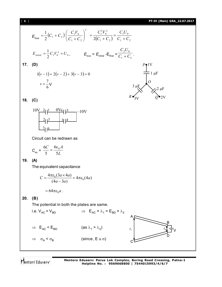## [ **6** ] **PT-IV (Main) GRA\_22.07.2017**

$$
E_{\text{final}} = \frac{1}{2}(C_1 + C_2) \left(\frac{C_1V_0}{C_1 + C_2}\right)^2 = \frac{C_1^2V_0^2}{2(C_1 + C_2)} = \frac{C_1U_0}{C_1 + C_2}
$$
\n
$$
E_{\text{initial}} = \frac{1}{2}C_1V_0^2 = U_0, \qquad E_{\text{loss}} = E_{\text{initial}} = E_{\text{final}} - \frac{C_2U_0}{C_1 + C_2}.
$$
\n17. **(D)**\n
$$
1(\nu - 1) + 2(\nu - 2) + 3(\nu - 3) = 0
$$
\n
$$
\nu = \frac{7}{6}V
$$
\n18. **(C)**\n
$$
10V - \frac{2}{6}|\frac{1}{2}\frac{1}{3}\frac{1}{4}|\frac{1}{4}\frac{1}{4}\frac{1}{4}\frac{1}{4}\frac{1}{4}\frac{1}{4}\frac{1}{4}\frac{1}{4}\frac{1}{4}\frac{1}{4}\frac{1}{4}\frac{1}{4}\frac{1}{4}\frac{1}{4}\frac{1}{4}\frac{1}{4}\frac{1}{4}\frac{1}{4}\frac{1}{4}\frac{1}{4}\frac{1}{4}\frac{1}{4}\frac{1}{4}\frac{1}{4}\frac{1}{4}\frac{1}{4}\frac{1}{4}\frac{1}{4}\frac{1}{4}\frac{1}{4}\frac{1}{4}\frac{1}{4}\frac{1}{4}\frac{1}{4}\frac{1}{4}\frac{1}{4}\frac{1}{4}\frac{1}{4}\frac{1}{4}\frac{1}{4}\frac{1}{4}\frac{1}{4}\frac{1}{4}\frac{1}{4}\frac{1}{4}\frac{1}{4}\frac{1}{4}\frac{1}{4}\frac{1}{4}\frac{1}{4}\frac{1}{4}\frac{1}{4}\frac{1}{4}\frac{1}{4}\frac{1}{4}\frac{1}{4}\frac{1}{4}\frac{1}{4}\frac{1}{4}\frac{1}{4}\frac{1}{4}\frac{1}{4}\frac{1}{4}\frac{1}{4}\frac{1}{4}\frac{1}{4}\frac{1}{4}\frac{1}{4}\frac{1}{4}\frac{1}{4}\frac{1}{4}\frac{1}{4}\frac{1}{4}\frac{1}{4}\frac{1}{4}\frac{1}{4}\frac{1}{4}\frac{1}{4
$$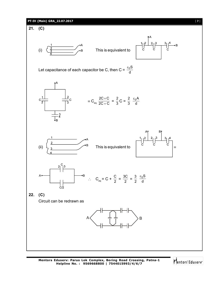

Mentors<sup>e</sup> Eduserv<sup>®</sup>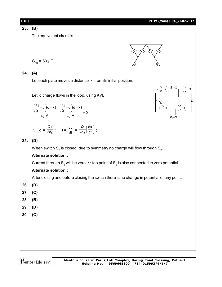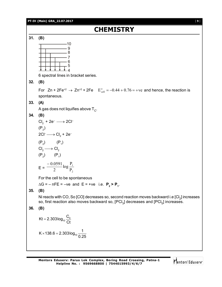# **PT-IV (Main) GRA\_22.07.2017** [ **9** ] **CHEMISTRY 31. (B)** 10 9 8 7 6 5 4 6 spectral lines in bracket series. **32. (B)** For  $Zn + 2Fe^{+2} \rightarrow Zn^{+2} + 2Fe$   $E_{cell}^{\circ} = -0.44 + 0.76 = +ve$  and hence, the reaction is spontaneous. **33. (A)** A gas does not liquifies above T $_{\rm c}$ . **34. (B)**  $Cl<sub>2</sub> + 2e<sup>-</sup> \longrightarrow 2Cl<sup>-</sup>$  $(P_2)$ 2Cl<sup>-</sup> $\longrightarrow$  Cl<sub>2</sub> + 2e<sup>-</sup>  $(P_2)$   $(P_1)$  $Cl_2 \longrightarrow Cl_2$  $(P_2)$   $(P_1)$  $E =$ 2 1 P  $\log \frac{P}{P}$ 2 0.0591 For the cell to be spontaneous  $\Delta G = -nFE = -ve$  and  $E = +ve$  i.e.  $P_2 > P_1$ . **35. (B)** Ni reacts with CO, So [CO] decreases so, second reaction moves backward i.e [Cl<sub>2</sub>] increases so, first reaction also moves backward so, [PCI $_3$ ] decreases and [PCI $_5$ ] increases. **36. (B)**  $\frac{0}{10}$ Kt = 2.303 $log_{10} \frac{C}{C}$ Ct  $=$ K  $\times$  138.6 = 2.303log<sub>10</sub>  $\frac{1}{2.2}$  $\times$ 138.6 = 2

10

0.25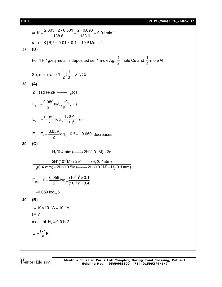[ **10** ] **PT-IV (Main) GRA\_22.07.2017**

or K =  $\frac{2.303 \times 2 \times 0.301}{100.0}$  =  $\frac{2 \times 0.693}{100.0}$  = 0.01 min<sup>-1</sup> 138.6 138.6  $=\frac{2.303\times2\times0.301}{100.0}=\frac{2\times0.693}{100.0}$  = 0.01 min<sup>-</sup> rate = K [R]<sup>1</sup> = 0.01 × 0.1 = 10<sup>-3</sup> Mmin<sup>-1</sup>. **37. (B)** For 1 F 1g.eq metal is deposited i.e, 1 mole Ag, 1  $\frac{1}{2}$  mole Cu and 1  $\frac{1}{3}$  mole Al So, mole ratio  $1: \frac{1}{2} : \frac{1}{2} = 6:3:2$ 2 3  $=$ **38. (A)**  $2H^*(aq.) + 2e^- \longrightarrow H_2(g)$  $H_1 = -\frac{0.039}{2}$ log<sub>10</sub>  $\frac{H_2}{H_1 + 1^2}$  $E_1 = -\frac{0.059}{2} \log_{10} \frac{P_{H_2}}{[H^+]^2}$  (i)  $H_2 = -\frac{0.039}{2}$ log<sub>10</sub>  $\frac{1001 H_2}{H_1 + 1^2}$  $E_{_2} = -\frac{0.059}{2}$ log<sub>10</sub>  $\frac{100P_{H_2}}{[H^+]^2}$  (ii)  $E_2 - E_1 = \frac{0.059}{2}$ log<sub>10</sub> 10<sup>-2</sup> = -0.059 2  $-E_1 = \frac{0.039}{2}$ log<sub>10</sub>10<sup>-2</sup> = -0.059 decreases **39. (C)**  $H<sub>2</sub>(0.4 atm) \longrightarrow 2H<sup>+</sup>(10<sup>-1</sup>M) + 2e<sup>-1</sup>$  $2H^{+}(10^{-2}M) + 2e^{-} \longrightarrow H_{2}(0.1atm)$ <br>  $_{2}(0.4~atm) + 2H^{+}(10^{-2}M) \longrightarrow 2H^{+}(10^{-1}M) + H_{2}$  $2H^+(10^{-2}M) + 2e^- \longrightarrow H_2(0.1atm)$  $H<sub>2</sub>(0.4 atm) + 2H<sup>+</sup>(10<sup>-2</sup> M)$   $\longrightarrow$  2H<sup>+</sup>(10<sup>-1</sup>M) + H<sub>2</sub>(0.1 atm)  $+$ /10<sup>-2</sup>M)  $\cdot$  20<sup>-</sup>  $+2e^- \longrightarrow$  $+$  2H $^{+}(10^{-2}$  M) —— $\rightarrow$  2H $^{+}(10^{-1}$  M) + F 1  $\lambda$  $E_{cell} = 0 - \frac{0.059}{2} \log_{10} \frac{(10^{-1})^2 \times 0.1}{(10^{-2})^2 \times 0.4}$ 2  $(10^{-2})^2 \times 0.4$ -÷  $= 0 - \frac{0.059}{2} \log_{10} \frac{(10^{-1})^2 \times}{(10^{-2})^2}$  $\times$  $= -0.059$   $log_{10} 5$ **40. (B)**  $i = 10 \times 10^{-3}$ A =  $10^{-2}$ A  $t = ?$ mass of  $H<sub>2</sub> = 0.01 \times 2$  $w = \frac{i \times t}{\sqrt{n}}$ E F  $=\frac{i\times}{E}$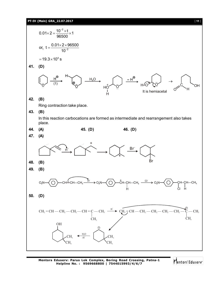

Mentors<sup>e</sup> Eduserv<sup>®</sup>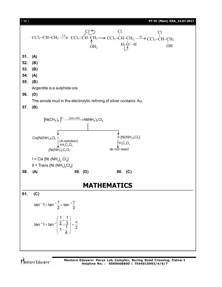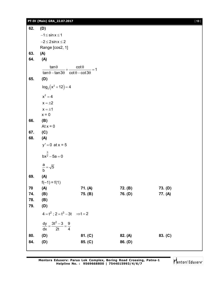## **PT-IV (Main) GRA\_22.07.2017** [ **13** ]

| 62. | (D)                                                                                     |         |         |         |
|-----|-----------------------------------------------------------------------------------------|---------|---------|---------|
|     | $-1 \leq$ sin $x \leq 1$                                                                |         |         |         |
|     | $-2 \leq 2 \sin x \leq 2$                                                               |         |         |         |
|     | Range [cos2, 1]                                                                         |         |         |         |
| 63. | (A)                                                                                     |         |         |         |
| 64. | (A)                                                                                     |         |         |         |
|     |                                                                                         |         |         |         |
|     | $\frac{\tan\theta}{\tan\theta-\tan3\theta}+\frac{\cot\theta}{\cot\theta-\cot3\theta}=1$ |         |         |         |
| 65. | (D)                                                                                     |         |         |         |
|     | $log_2(x^2 + 12) = 4$                                                                   |         |         |         |
|     | $x^2 = 4$                                                                               |         |         |         |
|     | $x = \pm 2$                                                                             |         |         |         |
|     | $x = \pm 1$                                                                             |         |         |         |
|     | $x = 0$                                                                                 |         |         |         |
| 66. | (B)                                                                                     |         |         |         |
|     | At $x = 0$                                                                              |         |         |         |
| 67. | (C)                                                                                     |         |         |         |
| 68. | (A)                                                                                     |         |         |         |
|     | $y' = 0$ at $x = 5$                                                                     |         |         |         |
|     | $bx^{\frac{3}{2}} - 5a = 0$                                                             |         |         |         |
|     | $\frac{a}{b} = \sqrt{5}$                                                                |         |         |         |
|     |                                                                                         |         |         |         |
| 69. | (A)<br>$f(-1) = f(1)$                                                                   |         |         |         |
| 70  | (A)                                                                                     | 71. (A) | 72. (B) | 73. (D) |
| 74. | (B)                                                                                     | 75. (B) | 76. (D) | 77. (A) |
| 78. | (B)                                                                                     |         |         |         |
| 79. | (D)                                                                                     |         |         |         |
|     | $4 = t^2$ ; $2 = t^3 - 3t$ $\Rightarrow t = 2$                                          |         |         |         |
|     | $\frac{dy}{dx} = \frac{3t^2 - 3}{2t} = \frac{9}{4}$                                     |         |         |         |
| 80. | (D)                                                                                     | 81. (C) | 82. (A) | 83. (C) |
| 84. | (D)                                                                                     | 85. (C) | 86. (D) |         |
|     |                                                                                         |         |         |         |